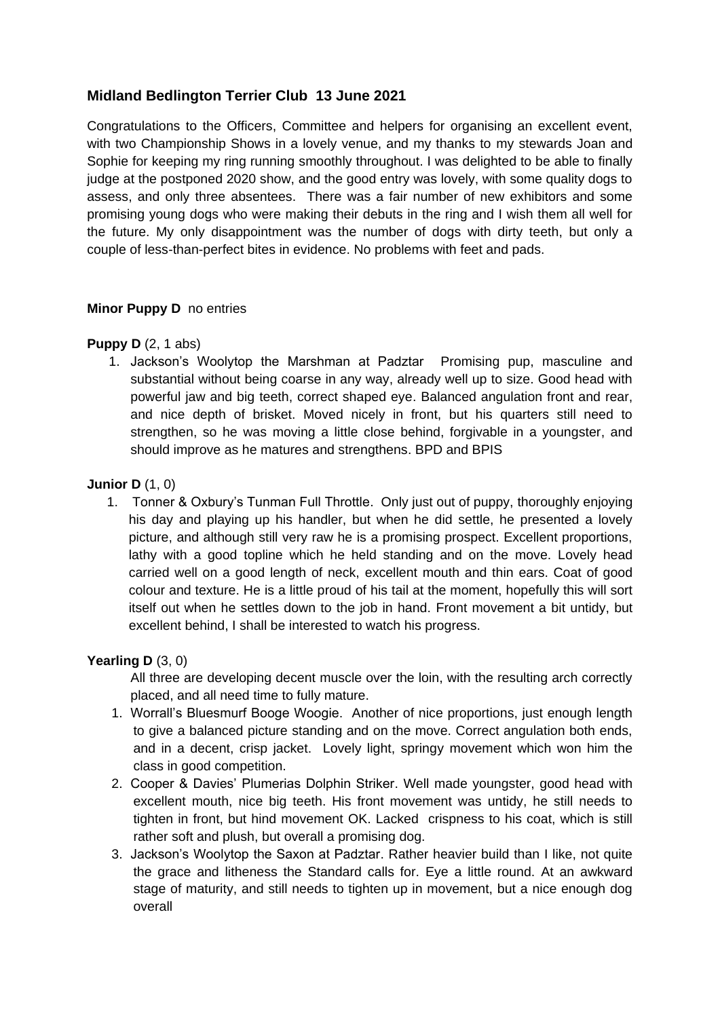## **Midland Bedlington Terrier Club 13 June 2021**

Congratulations to the Officers, Committee and helpers for organising an excellent event, with two Championship Shows in a lovely venue, and my thanks to my stewards Joan and Sophie for keeping my ring running smoothly throughout. I was delighted to be able to finally judge at the postponed 2020 show, and the good entry was lovely, with some quality dogs to assess, and only three absentees. There was a fair number of new exhibitors and some promising young dogs who were making their debuts in the ring and I wish them all well for the future. My only disappointment was the number of dogs with dirty teeth, but only a couple of less-than-perfect bites in evidence. No problems with feet and pads.

### **Minor Puppy D** no entries

### **Puppy D** (2, 1 abs)

1. Jackson's Woolytop the Marshman at Padztar Promising pup, masculine and substantial without being coarse in any way, already well up to size. Good head with powerful jaw and big teeth, correct shaped eye. Balanced angulation front and rear, and nice depth of brisket. Moved nicely in front, but his quarters still need to strengthen, so he was moving a little close behind, forgivable in a youngster, and should improve as he matures and strengthens. BPD and BPIS

#### **Junior D** (1, 0)

1. Tonner & Oxbury's Tunman Full Throttle. Only just out of puppy, thoroughly enjoying his day and playing up his handler, but when he did settle, he presented a lovely picture, and although still very raw he is a promising prospect. Excellent proportions, lathy with a good topline which he held standing and on the move. Lovely head carried well on a good length of neck, excellent mouth and thin ears. Coat of good colour and texture. He is a little proud of his tail at the moment, hopefully this will sort itself out when he settles down to the job in hand. Front movement a bit untidy, but excellent behind, I shall be interested to watch his progress.

#### **Yearling D** (3, 0)

All three are developing decent muscle over the loin, with the resulting arch correctly placed, and all need time to fully mature.

- 1. Worrall's Bluesmurf Booge Woogie. Another of nice proportions, just enough length to give a balanced picture standing and on the move. Correct angulation both ends, and in a decent, crisp jacket. Lovely light, springy movement which won him the class in good competition.
- 2. Cooper & Davies' Plumerias Dolphin Striker. Well made youngster, good head with excellent mouth, nice big teeth. His front movement was untidy, he still needs to tighten in front, but hind movement OK. Lacked crispness to his coat, which is still rather soft and plush, but overall a promising dog.
- 3. Jackson's Woolytop the Saxon at Padztar. Rather heavier build than I like, not quite the grace and litheness the Standard calls for. Eye a little round. At an awkward stage of maturity, and still needs to tighten up in movement, but a nice enough dog overall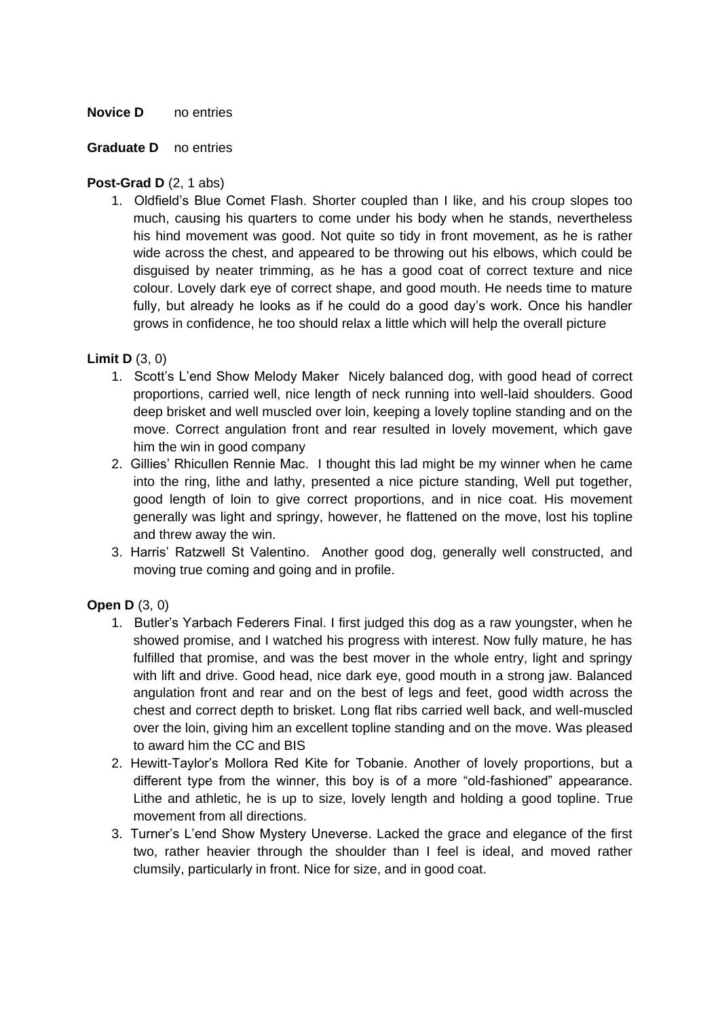#### **Novice D** no entries

#### **Graduate D** no entries

#### **Post-Grad D** (2, 1 abs)

1. Oldfield's Blue Comet Flash. Shorter coupled than I like, and his croup slopes too much, causing his quarters to come under his body when he stands, nevertheless his hind movement was good. Not quite so tidy in front movement, as he is rather wide across the chest, and appeared to be throwing out his elbows, which could be disguised by neater trimming, as he has a good coat of correct texture and nice colour. Lovely dark eye of correct shape, and good mouth. He needs time to mature fully, but already he looks as if he could do a good day's work. Once his handler grows in confidence, he too should relax a little which will help the overall picture

### **Limit D** (3, 0)

- 1. Scott's L'end Show Melody Maker Nicely balanced dog, with good head of correct proportions, carried well, nice length of neck running into well-laid shoulders. Good deep brisket and well muscled over loin, keeping a lovely topline standing and on the move. Correct angulation front and rear resulted in lovely movement, which gave him the win in good company
- 2. Gillies' Rhicullen Rennie Mac. I thought this lad might be my winner when he came into the ring, lithe and lathy, presented a nice picture standing, Well put together, good length of loin to give correct proportions, and in nice coat. His movement generally was light and springy, however, he flattened on the move, lost his topline and threw away the win.
- 3. Harris' Ratzwell St Valentino. Another good dog, generally well constructed, and moving true coming and going and in profile.

### **Open D** (3, 0)

- 1. Butler's Yarbach Federers Final. I first judged this dog as a raw youngster, when he showed promise, and I watched his progress with interest. Now fully mature, he has fulfilled that promise, and was the best mover in the whole entry, light and springy with lift and drive. Good head, nice dark eye, good mouth in a strong jaw. Balanced angulation front and rear and on the best of legs and feet, good width across the chest and correct depth to brisket. Long flat ribs carried well back, and well-muscled over the loin, giving him an excellent topline standing and on the move. Was pleased to award him the CC and BIS
- 2. Hewitt-Taylor's Mollora Red Kite for Tobanie. Another of lovely proportions, but a different type from the winner, this boy is of a more "old-fashioned" appearance. Lithe and athletic, he is up to size, lovely length and holding a good topline. True movement from all directions.
- 3. Turner's L'end Show Mystery Uneverse. Lacked the grace and elegance of the first two, rather heavier through the shoulder than I feel is ideal, and moved rather clumsily, particularly in front. Nice for size, and in good coat.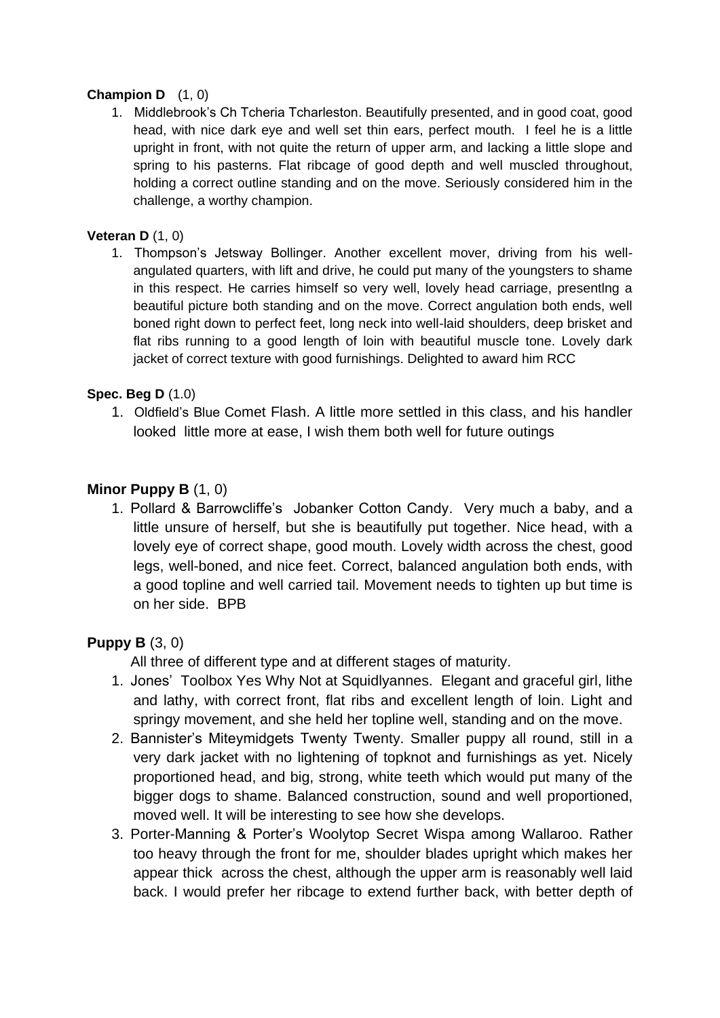### **Champion D** (1, 0)

1. Middlebrook's Ch Tcheria Tcharleston. Beautifully presented, and in good coat, good head, with nice dark eye and well set thin ears, perfect mouth. I feel he is a little upright in front, with not quite the return of upper arm, and lacking a little slope and spring to his pasterns. Flat ribcage of good depth and well muscled throughout, holding a correct outline standing and on the move. Seriously considered him in the challenge, a worthy champion.

### **Veteran D** (1, 0)

1. Thompson's Jetsway Bollinger. Another excellent mover, driving from his wellangulated quarters, with lift and drive, he could put many of the youngsters to shame in this respect. He carries himself so very well, lovely head carriage, presentlng a beautiful picture both standing and on the move. Correct angulation both ends, well boned right down to perfect feet, long neck into well-laid shoulders, deep brisket and flat ribs running to a good length of loin with beautiful muscle tone. Lovely dark jacket of correct texture with good furnishings. Delighted to award him RCC

### **Spec. Beg D** (1.0)

1. Oldfield's Blue Comet Flash. A little more settled in this class, and his handler looked little more at ease, I wish them both well for future outings

## **Minor Puppy B** (1, 0)

1. Pollard & Barrowcliffe's Jobanker Cotton Candy. Very much a baby, and a little unsure of herself, but she is beautifully put together. Nice head, with a lovely eye of correct shape, good mouth. Lovely width across the chest, good legs, well-boned, and nice feet. Correct, balanced angulation both ends, with a good topline and well carried tail. Movement needs to tighten up but time is on her side. BPB

## **Puppy B** (3, 0)

All three of different type and at different stages of maturity.

- 1. Jones' Toolbox Yes Why Not at Squidlyannes. Elegant and graceful girl, lithe and lathy, with correct front, flat ribs and excellent length of loin. Light and springy movement, and she held her topline well, standing and on the move.
- 2. Bannister's Miteymidgets Twenty Twenty. Smaller puppy all round, still in a very dark jacket with no lightening of topknot and furnishings as yet. Nicely proportioned head, and big, strong, white teeth which would put many of the bigger dogs to shame. Balanced construction, sound and well proportioned, moved well. It will be interesting to see how she develops.
- 3. Porter-Manning & Porter's Woolytop Secret Wispa among Wallaroo. Rather too heavy through the front for me, shoulder blades upright which makes her appear thick across the chest, although the upper arm is reasonably well laid back. I would prefer her ribcage to extend further back, with better depth of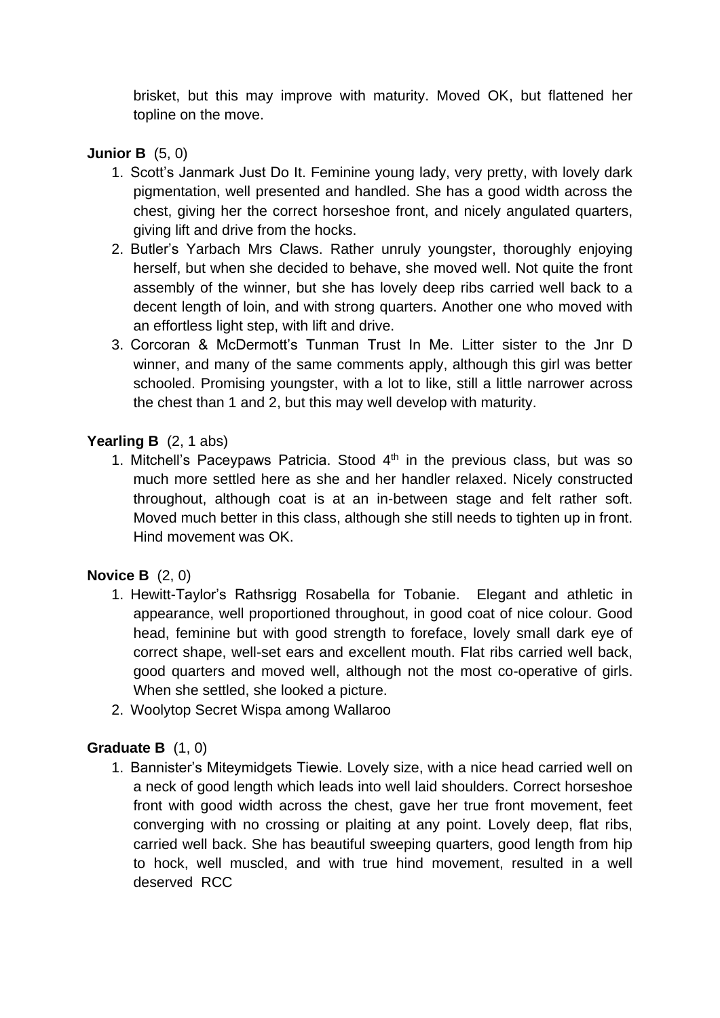brisket, but this may improve with maturity. Moved OK, but flattened her topline on the move.

# **Junior B** (5, 0)

- 1. Scott's Janmark Just Do It. Feminine young lady, very pretty, with lovely dark pigmentation, well presented and handled. She has a good width across the chest, giving her the correct horseshoe front, and nicely angulated quarters, giving lift and drive from the hocks.
- 2. Butler's Yarbach Mrs Claws. Rather unruly youngster, thoroughly enjoying herself, but when she decided to behave, she moved well. Not quite the front assembly of the winner, but she has lovely deep ribs carried well back to a decent length of loin, and with strong quarters. Another one who moved with an effortless light step, with lift and drive.
- 3. Corcoran & McDermott's Tunman Trust In Me. Litter sister to the Jnr D winner, and many of the same comments apply, although this girl was better schooled. Promising youngster, with a lot to like, still a little narrower across the chest than 1 and 2, but this may well develop with maturity.

# **Yearling B** (2, 1 abs)

1. Mitchell's Paceypaws Patricia. Stood  $4<sup>th</sup>$  in the previous class, but was so much more settled here as she and her handler relaxed. Nicely constructed throughout, although coat is at an in-between stage and felt rather soft. Moved much better in this class, although she still needs to tighten up in front. Hind movement was OK.

## **Novice B** (2, 0)

- 1. Hewitt-Taylor's Rathsrigg Rosabella for Tobanie. Elegant and athletic in appearance, well proportioned throughout, in good coat of nice colour. Good head, feminine but with good strength to foreface, lovely small dark eye of correct shape, well-set ears and excellent mouth. Flat ribs carried well back, good quarters and moved well, although not the most co-operative of girls. When she settled, she looked a picture.
- 2. Woolytop Secret Wispa among Wallaroo

## **Graduate B** (1, 0)

1. Bannister's Miteymidgets Tiewie. Lovely size, with a nice head carried well on a neck of good length which leads into well laid shoulders. Correct horseshoe front with good width across the chest, gave her true front movement, feet converging with no crossing or plaiting at any point. Lovely deep, flat ribs, carried well back. She has beautiful sweeping quarters, good length from hip to hock, well muscled, and with true hind movement, resulted in a well deserved RCC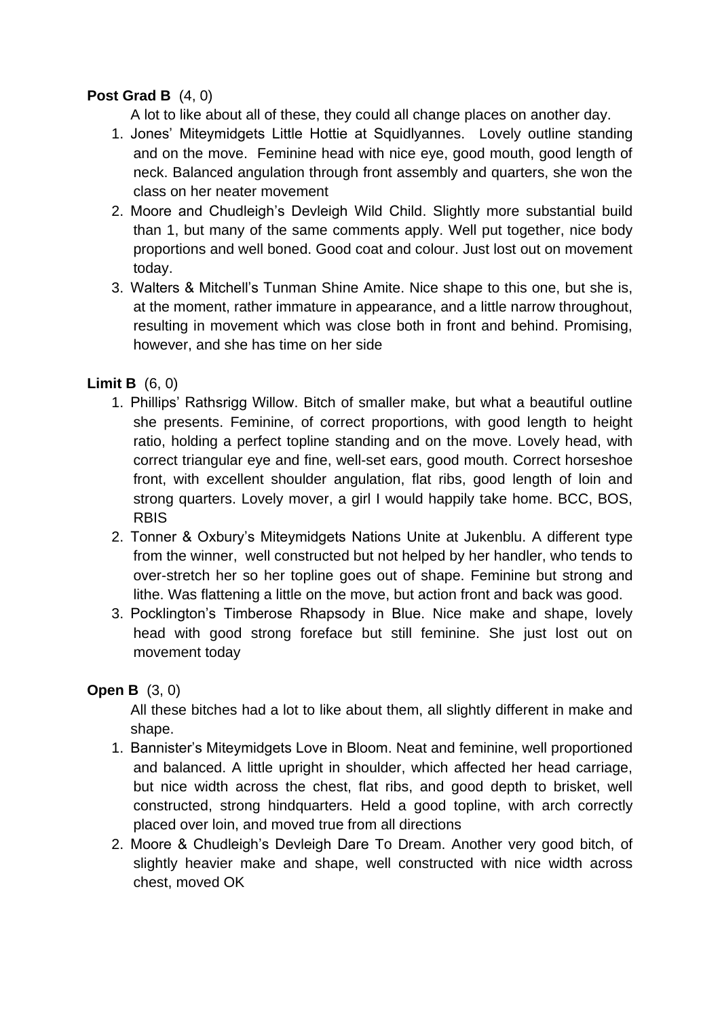# **Post Grad B** (4, 0)

A lot to like about all of these, they could all change places on another day.

- 1. Jones' Miteymidgets Little Hottie at Squidlyannes. Lovely outline standing and on the move. Feminine head with nice eye, good mouth, good length of neck. Balanced angulation through front assembly and quarters, she won the class on her neater movement
- 2. Moore and Chudleigh's Devleigh Wild Child. Slightly more substantial build than 1, but many of the same comments apply. Well put together, nice body proportions and well boned. Good coat and colour. Just lost out on movement today.
- 3. Walters & Mitchell's Tunman Shine Amite. Nice shape to this one, but she is, at the moment, rather immature in appearance, and a little narrow throughout, resulting in movement which was close both in front and behind. Promising, however, and she has time on her side

# **Limit B** (6, 0)

- 1. Phillips' Rathsrigg Willow. Bitch of smaller make, but what a beautiful outline she presents. Feminine, of correct proportions, with good length to height ratio, holding a perfect topline standing and on the move. Lovely head, with correct triangular eye and fine, well-set ears, good mouth. Correct horseshoe front, with excellent shoulder angulation, flat ribs, good length of loin and strong quarters. Lovely mover, a girl I would happily take home. BCC, BOS, RBIS
- 2. Tonner & Oxbury's Miteymidgets Nations Unite at Jukenblu. A different type from the winner, well constructed but not helped by her handler, who tends to over-stretch her so her topline goes out of shape. Feminine but strong and lithe. Was flattening a little on the move, but action front and back was good.
- 3. Pocklington's Timberose Rhapsody in Blue. Nice make and shape, lovely head with good strong foreface but still feminine. She just lost out on movement today

## **Open B** (3, 0)

All these bitches had a lot to like about them, all slightly different in make and shape.

- 1. Bannister's Miteymidgets Love in Bloom. Neat and feminine, well proportioned and balanced. A little upright in shoulder, which affected her head carriage, but nice width across the chest, flat ribs, and good depth to brisket, well constructed, strong hindquarters. Held a good topline, with arch correctly placed over loin, and moved true from all directions
- 2. Moore & Chudleigh's Devleigh Dare To Dream. Another very good bitch, of slightly heavier make and shape, well constructed with nice width across chest, moved OK